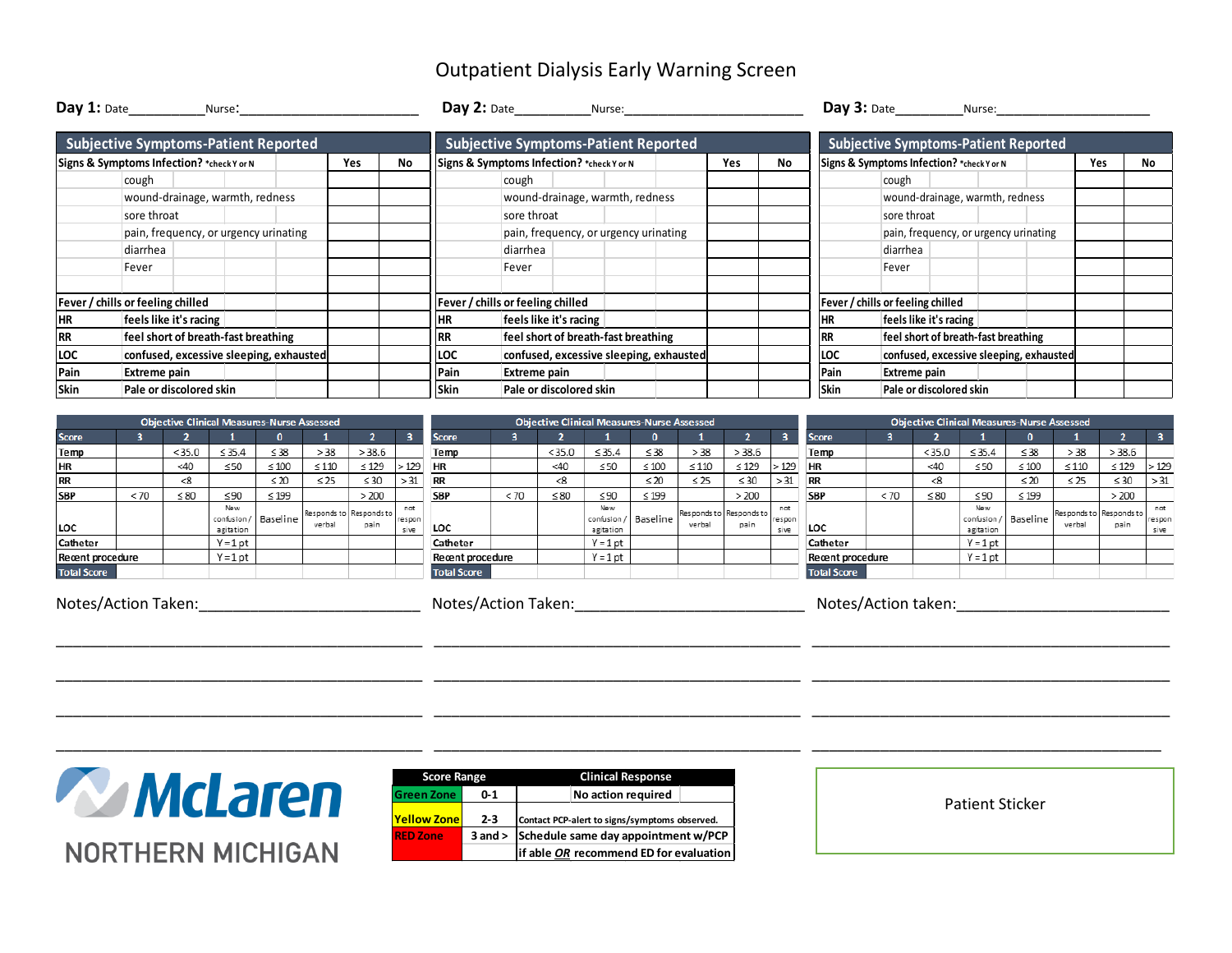## Outpatient Dialysis Early Warning Screen

| Day 1: Date___________________Nurse:        |                                       |  |  |                                         |            |    |                                           | Day 2: Date Nurse:                          |  |                                       |                                         |     |     |             | $Day 3:$ Date                               | Nurse: |  |     |    |
|---------------------------------------------|---------------------------------------|--|--|-----------------------------------------|------------|----|-------------------------------------------|---------------------------------------------|--|---------------------------------------|-----------------------------------------|-----|-----|-------------|---------------------------------------------|--------|--|-----|----|
| <b>Subjective Symptoms-Patient Reported</b> |                                       |  |  |                                         |            |    |                                           | <b>Subjective Symptoms-Patient Reported</b> |  |                                       |                                         |     |     |             | <b>Subjective Symptoms-Patient Reported</b> |        |  |     |    |
| Signs & Symptoms Infection? *check Y or N   |                                       |  |  |                                         | <b>Yes</b> | No | Signs & Symptoms Infection? *check Y or N |                                             |  |                                       |                                         | Yes | No. |             | Signs & Symptoms Infection? *check Y or N   |        |  | Yes | No |
|                                             | cough                                 |  |  |                                         |            |    |                                           | cough                                       |  |                                       |                                         |     |     |             | cough                                       |        |  |     |    |
|                                             | wound-drainage, warmth, redness       |  |  |                                         |            |    |                                           |                                             |  | wound-drainage, warmth, redness       |                                         |     |     |             | wound-drainage, warmth, redness             |        |  |     |    |
|                                             | sore throat                           |  |  |                                         |            |    |                                           | sore throat                                 |  |                                       |                                         |     |     |             | sore throat                                 |        |  |     |    |
|                                             | pain, frequency, or urgency urinating |  |  |                                         |            |    |                                           |                                             |  | pain, frequency, or urgency urinating |                                         |     |     |             | pain, frequency, or urgency urinating       |        |  |     |    |
|                                             | diarrhea                              |  |  |                                         |            |    |                                           | diarrhea                                    |  |                                       |                                         |     |     |             | diarrhea                                    |        |  |     |    |
|                                             | Fever                                 |  |  |                                         |            |    |                                           | Fever                                       |  |                                       |                                         |     |     |             | Fever                                       |        |  |     |    |
| Fever / chills or feeling chilled           |                                       |  |  |                                         |            |    | Fever / chills or feeling chilled         |                                             |  |                                       |                                         |     |     |             | Fever / chills or feeling chilled           |        |  |     |    |
| <b>HR</b>                                   | feels like it's racing                |  |  |                                         |            |    | <b>HR</b>                                 | feels like it's racing                      |  |                                       |                                         |     |     |             | feels like it's racing                      |        |  |     |    |
| <b>RR</b>                                   | feel short of breath-fast breathing   |  |  |                                         |            |    | <b>RR</b>                                 | feel short of breath-fast breathing         |  |                                       |                                         |     |     |             | feel short of breath-fast breathing         |        |  |     |    |
| LOC                                         |                                       |  |  | confused, excessive sleeping, exhausted |            |    | LOC                                       |                                             |  |                                       | confused, excessive sleeping, exhausted |     |     | LOC         | confused, excessive sleeping, exhausted     |        |  |     |    |
| Pain                                        | Extreme pain                          |  |  |                                         |            |    | Pain                                      | Extreme pain                                |  |                                       |                                         |     |     | Pain        | Extreme pain                                |        |  |     |    |
| Skin<br>Pale or discolored skin             |                                       |  |  |                                         |            |    | Skin<br>Pale or discolored skin           |                                             |  |                                       |                                         |     |     | <b>Skin</b> | Pale or discolored skin                     |        |  |     |    |

\_\_\_\_\_\_\_\_\_\_\_\_\_\_\_\_\_\_\_\_\_\_\_\_\_\_\_\_\_\_\_\_\_\_\_\_\_\_\_\_\_\_\_ \_\_\_\_\_\_\_\_\_\_\_\_\_\_\_\_\_\_\_\_\_\_\_\_\_\_\_\_\_\_\_\_\_\_\_\_\_\_\_\_\_\_\_ \_\_\_\_\_\_\_\_\_\_\_\_\_\_\_\_\_\_\_\_\_\_\_\_\_\_\_\_\_\_\_\_\_\_\_\_\_\_\_\_\_\_

\_\_\_\_\_\_\_\_\_\_\_\_\_\_\_\_\_\_\_\_\_\_\_\_\_\_\_\_\_\_\_\_\_\_\_\_\_\_\_\_\_\_\_ \_\_\_\_\_\_\_\_\_\_\_\_\_\_\_\_\_\_\_\_\_\_\_\_\_\_\_\_\_\_\_\_\_\_\_\_\_\_\_\_\_\_\_ \_\_\_\_\_\_\_\_\_\_\_\_\_\_\_\_\_\_\_\_\_\_\_\_\_\_\_\_\_\_\_\_\_\_\_\_\_\_\_\_\_\_

\_\_\_\_\_\_\_\_\_\_\_\_\_\_\_\_\_\_\_\_\_\_\_\_\_\_\_\_\_\_\_\_\_\_\_\_\_\_\_\_\_\_\_ \_\_\_\_\_\_\_\_\_\_\_\_\_\_\_\_\_\_\_\_\_\_\_\_\_\_\_\_\_\_\_\_\_\_\_\_\_\_\_\_\_\_\_ \_\_\_\_\_\_\_\_\_\_\_\_\_\_\_\_\_\_\_\_\_\_\_\_\_\_\_\_\_\_\_\_\_\_\_\_\_\_\_\_\_\_

\_\_\_\_\_\_\_\_\_\_\_\_\_\_\_\_\_\_\_\_\_\_\_\_\_\_\_\_\_\_\_\_\_\_\_\_\_\_\_\_\_\_\_ \_\_\_\_\_\_\_\_\_\_\_\_\_\_\_\_\_\_\_\_\_\_\_\_\_\_\_\_\_\_\_\_\_\_\_\_\_\_\_\_\_\_\_ \_\_\_\_\_\_\_\_\_\_\_\_\_\_\_\_\_\_\_\_\_\_\_\_\_\_\_\_\_\_\_\_\_\_\_\_\_\_\_\_\_

|                     |      |                     |                                 | <b>Objective Clinical Measures-Nurse Assessed</b> |            |                                 |                       | <b>Objective Clinical Measures-Nurse Assessed</b> |      |                     |                                      |            |            |                                 |                       |                         | <b>Objective Clinical Measures-Nurse Assessed</b> |           |                  |                      |            |                                 |                         |  |  |
|---------------------|------|---------------------|---------------------------------|---------------------------------------------------|------------|---------------------------------|-----------------------|---------------------------------------------------|------|---------------------|--------------------------------------|------------|------------|---------------------------------|-----------------------|-------------------------|---------------------------------------------------|-----------|------------------|----------------------|------------|---------------------------------|-------------------------|--|--|
| <b>Score</b>        |      |                     |                                 |                                                   |            |                                 |                       | <b>Score</b>                                      |      |                     |                                      |            |            |                                 |                       | <b>Score</b>            |                                                   |           |                  |                      |            |                                 | $\overline{\mathbf{3}}$ |  |  |
| Temp                |      | < 35.0              | $\leq 35.4$                     | $\leq 38$                                         | > 38       | > 38.6                          |                       | Temp                                              |      | < 35.0              | $\leq 35.4$                          | $\leq 38$  | > 38       | > 38.6                          |                       | Temp                    |                                                   | < 35.0    | $\leq 35.4$      | $\leq$ 38            | > 38       | > 38.6                          |                         |  |  |
| <b>HR</b>           |      | <40                 | $\leq 50$                       | $\leq 100$                                        | $\leq 110$ | $\leq 129$                      | >129                  | <b>HR</b>                                         |      | <40                 | $\leq 50$                            | $\leq 100$ | $\leq 110$ | $\leq 129$                      | >129                  | <b>HR</b>               |                                                   | <40       | $\leq 50$        | $\leq 100$           | $\leq 110$ | $\leq 129$                      | >12                     |  |  |
| <b>RR</b>           |      | -8                  |                                 | $\leq 20$                                         | $\leq 25$  | $\leq 30$                       | > 31                  |                                                   |      | -8                  |                                      | $\leq 20$  | $\leq$ 25  | $\leq 30$                       | > 31                  | <b>RR</b>               |                                                   | ≺8        |                  | $\leq 20$            | $\leq$ 25  | $\leq 30$                       | > 31                    |  |  |
| <b>SBP</b>          | < 70 | $\leq 80$           | $\leq 90$                       | $\leq 199$                                        |            | >200                            |                       | <b>SBP</b>                                        | < 70 | $\leq 80$           | ≤90                                  | $\leq 199$ |            | >200                            |                       | <b>SBP</b>              | < 70                                              | $\leq 80$ | ≤90              | $\leq$ 199           |            | >200                            |                         |  |  |
| LOC                 |      |                     | New<br>confusion /<br>agitation | Baseline                                          | verbal     | Responds to Responds to<br>pain | nat<br>respon<br>sive | LOC                                               |      |                     | <b>New</b><br>confusion<br>agitation | Baseline   | verbal     | Responds to Responds to<br>pain | not<br>respon<br>sive | <b>LOC</b>              |                                                   |           | New<br>agitation | confusion / Baseline | verbal     | Responds to Responds to<br>pain | not<br>respo<br>sive    |  |  |
| Catheter            |      |                     | $Y = 1$ pt                      |                                                   |            |                                 |                       | Catheter                                          |      |                     | $Y = 1$ pt                           |            |            |                                 |                       | Catheter                |                                                   |           | $Y = 1$ pt       |                      |            |                                 |                         |  |  |
| Recent procedure    |      |                     | $Y = 1$ pt                      |                                                   |            |                                 |                       | Recent procedure                                  |      |                     | $Y = 1$ pt                           |            |            |                                 |                       | <b>Recent procedure</b> |                                                   |           | $Y = 1$ pt       |                      |            |                                 |                         |  |  |
| <b>Total Score</b>  |      |                     |                                 |                                                   |            |                                 |                       | <b>Total Score</b>                                |      |                     |                                      |            |            |                                 |                       | <b>Total Score</b>      |                                                   |           |                  |                      |            |                                 |                         |  |  |
| Notes/Action Taken: |      | Notes/Action Taken: |                                 |                                                   |            |                                 |                       |                                                   |      | Notes/Action taken: |                                      |            |            |                                 |                       |                         |                                                   |           |                  |                      |            |                                 |                         |  |  |

**Written NORTHERN MICHIGAN** 

| <b>Score Range</b> |             | <b>Clinical Response</b>                      |  |  |  |  |  |  |  |  |
|--------------------|-------------|-----------------------------------------------|--|--|--|--|--|--|--|--|
| <b>Green Zone</b>  | $0 - 1$     | No action required                            |  |  |  |  |  |  |  |  |
| <b>Yellow Zone</b> | $2 - 3$     | Contact PCP-alert to signs/symptoms observed. |  |  |  |  |  |  |  |  |
| <b>RED Zone</b>    | $3$ and $>$ | Schedule same day appointment w/PCP           |  |  |  |  |  |  |  |  |
|                    |             | if able OR recommend ED for evaluation        |  |  |  |  |  |  |  |  |

Patient Sticker

 $>129$ 

 $>31$ 

espon

sive